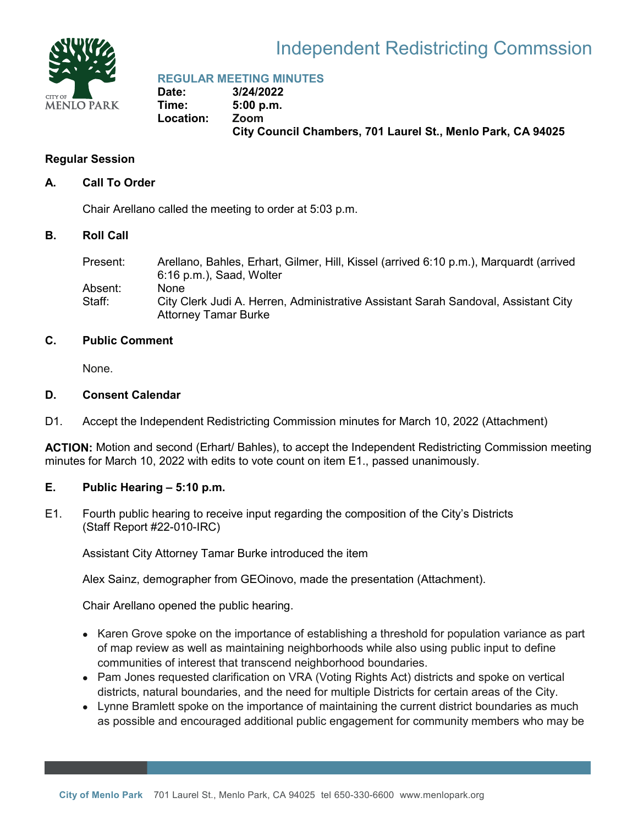

#### Independent Redistricting Commssion

**REGULAR MEETING MINUTES**

**Date: 3/24/2022 Time: 5:00 p.m. Location: Zoom City Council Chambers, 701 Laurel St., Menlo Park, CA 94025**

#### **Regular Session**

#### **A. Call To Order**

Chair Arellano called the meeting to order at 5:03 p.m.

#### **B. Roll Call**

| Present: | Arellano, Bahles, Erhart, Gilmer, Hill, Kissel (arrived 6:10 p.m.), Marguardt (arrived<br>6:16 p.m.), Saad, Wolter |
|----------|--------------------------------------------------------------------------------------------------------------------|
| Absent:  | <b>None</b>                                                                                                        |
| Staff:   | City Clerk Judi A. Herren, Administrative Assistant Sarah Sandoval, Assistant City<br><b>Attorney Tamar Burke</b>  |

#### **C. Public Comment**

None.

#### **D. Consent Calendar**

D1. Accept the Independent Redistricting Commission minutes for March 10, 2022 (Attachment)

**ACTION:** Motion and second (Erhart/ Bahles), to accept the Independent Redistricting Commission meeting minutes for March 10, 2022 with edits to vote count on item E1., passed unanimously.

#### **E. Public Hearing – 5:10 p.m.**

E1. Fourth public hearing to receive input regarding the composition of the City's Districts (Staff Report #22-010-IRC)

Assistant City Attorney Tamar Burke introduced the item

Alex Sainz, demographer from GEOinovo, made the presentation (Attachment).

Chair Arellano opened the public hearing.

- Karen Grove spoke on the importance of establishing a threshold for population variance as part of map review as well as maintaining neighborhoods while also using public input to define communities of interest that transcend neighborhood boundaries.
- Pam Jones requested clarification on VRA (Voting Rights Act) districts and spoke on vertical districts, natural boundaries, and the need for multiple Districts for certain areas of the City.
- Lynne Bramlett spoke on the importance of maintaining the current district boundaries as much as possible and encouraged additional public engagement for community members who may be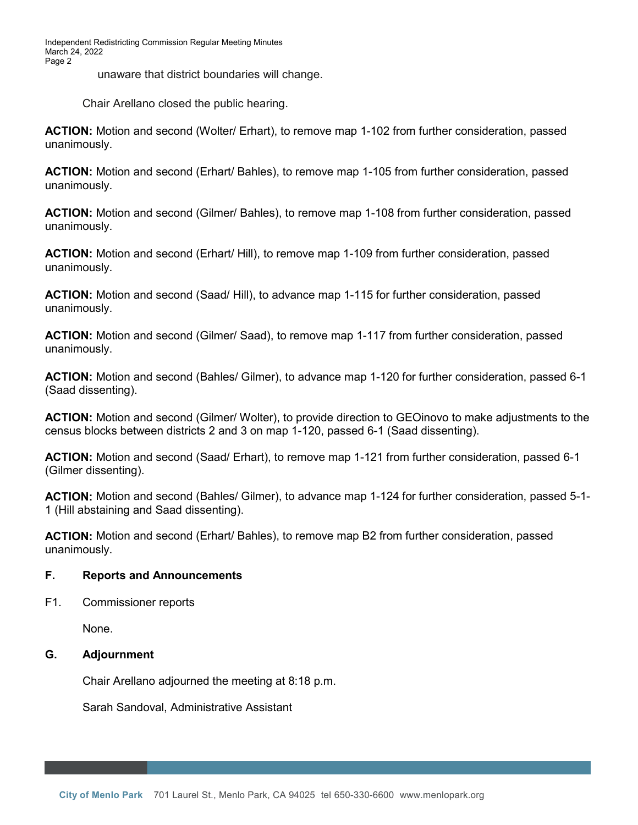Independent Redistricting Commission Regular Meeting Minutes March 24, 2022 Page 2

unaware that district boundaries will change.

Chair Arellano closed the public hearing.

**ACTION:** Motion and second (Wolter/ Erhart), to remove map 1-102 from further consideration, passed unanimously.

**ACTION:** Motion and second (Erhart/ Bahles), to remove map 1-105 from further consideration, passed unanimously.

**ACTION:** Motion and second (Gilmer/ Bahles), to remove map 1-108 from further consideration, passed unanimously.

**ACTION:** Motion and second (Erhart/ Hill), to remove map 1-109 from further consideration, passed unanimously.

**ACTION:** Motion and second (Saad/ Hill), to advance map 1-115 for further consideration, passed unanimously.

**ACTION:** Motion and second (Gilmer/ Saad), to remove map 1-117 from further consideration, passed unanimously.

**ACTION:** Motion and second (Bahles/ Gilmer), to advance map 1-120 for further consideration, passed 6-1 (Saad dissenting).

**ACTION:** Motion and second (Gilmer/ Wolter), to provide direction to GEOinovo to make adjustments to the census blocks between districts 2 and 3 on map 1-120, passed 6-1 (Saad dissenting).

**ACTION:** Motion and second (Saad/ Erhart), to remove map 1-121 from further consideration, passed 6-1 (Gilmer dissenting).

**ACTION:** Motion and second (Bahles/ Gilmer), to advance map 1-124 for further consideration, passed 5-1- 1 (Hill abstaining and Saad dissenting).

**ACTION:** Motion and second (Erhart/ Bahles), to remove map B2 from further consideration, passed unanimously.

#### **F. Reports and Announcements**

F1. Commissioner reports

None.

#### **G. Adjournment**

Chair Arellano adjourned the meeting at 8:18 p.m.

Sarah Sandoval, Administrative Assistant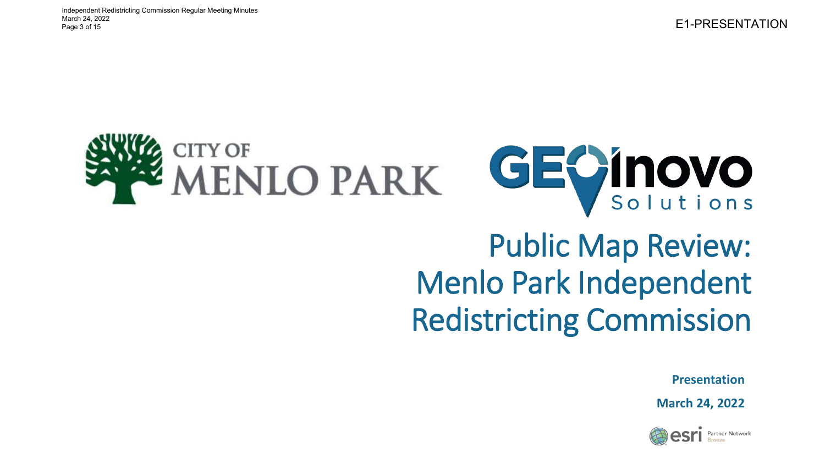



### Public Map Review: Menlo Park Independent Redistricting Commission

**Presentation**

**March 24, 2022**

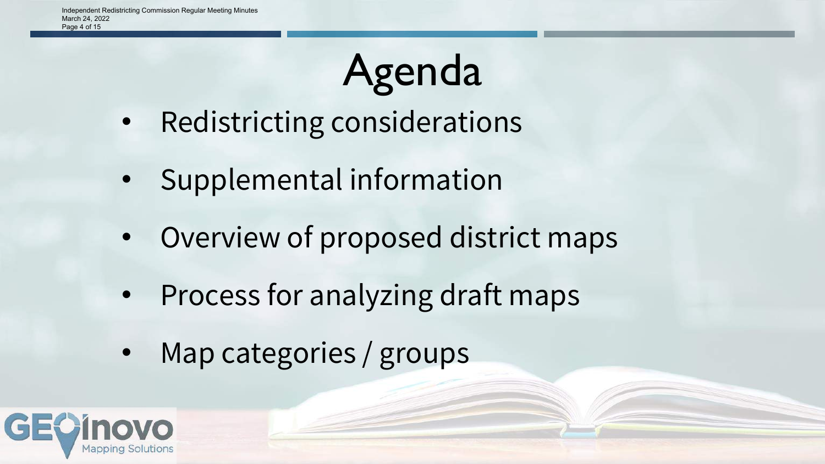# Agenda

- Redistricting considerations
- Supplemental information
- Overview of proposed district maps
- Process for analyzing draft maps
- Map categories / groups

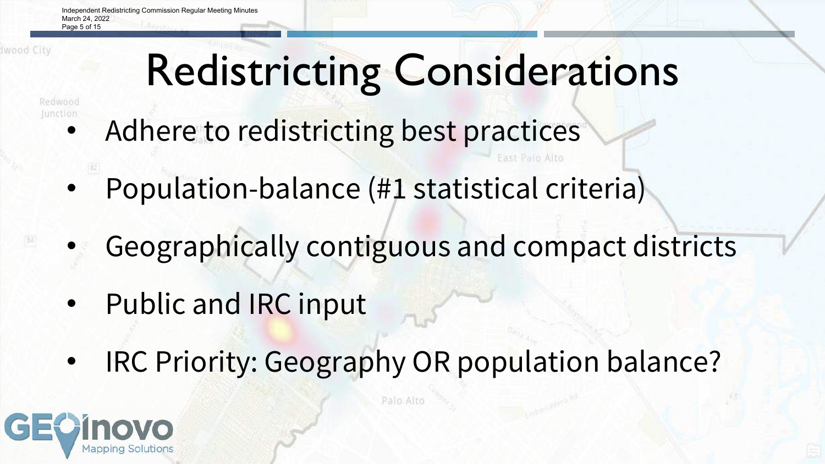Independent Redistricting Commission Regular Meeting Minutes March 24, 2022 Page 5 of 15

# Redistricting Considerations

Regiwood

- Adhere to redistricting best practices
	- Population-balance (#1 statistical criteria)
	- Geographically contiguous and compact districts
	- Public and IRC input
	- IRC Priority: Geography OR population balance?

Palo Alto

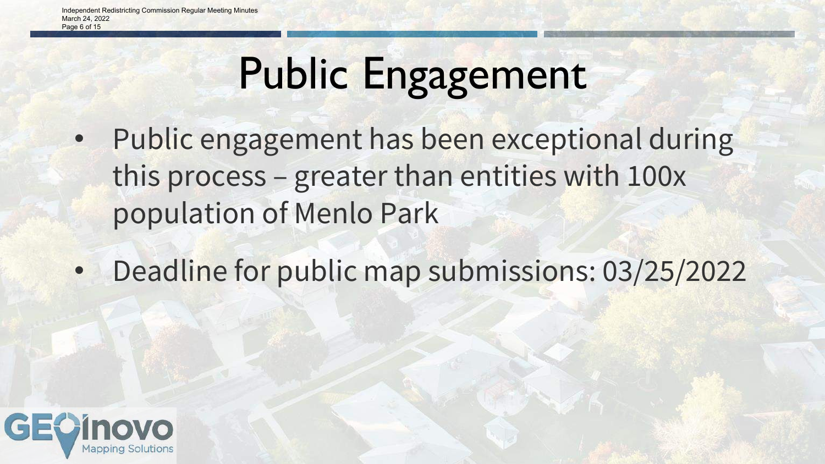# Public Engagement

- Public engagement has been exceptional during this process – greater than entities with 100x population of Menlo Park
- Deadline for public map submissions: 03/25/2022

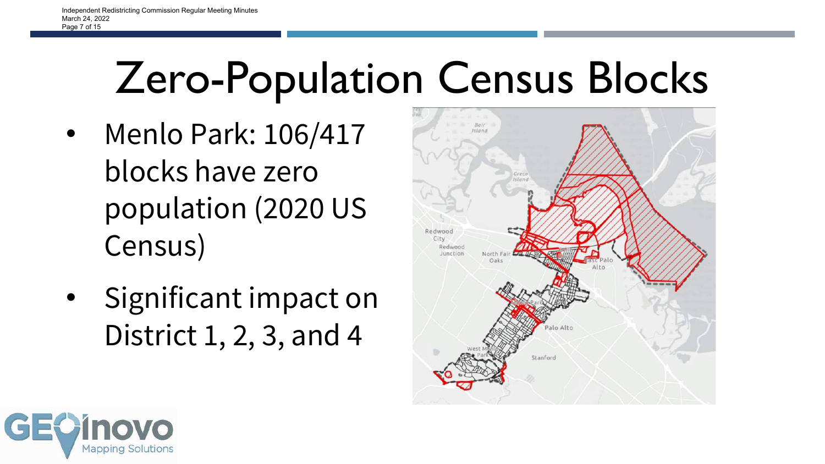### Zero-Population Census Blocks

- Menlo Park: 106/417 blocks have zero population (2020 US Census)
- Significant impact on District 1, 2, 3, and 4



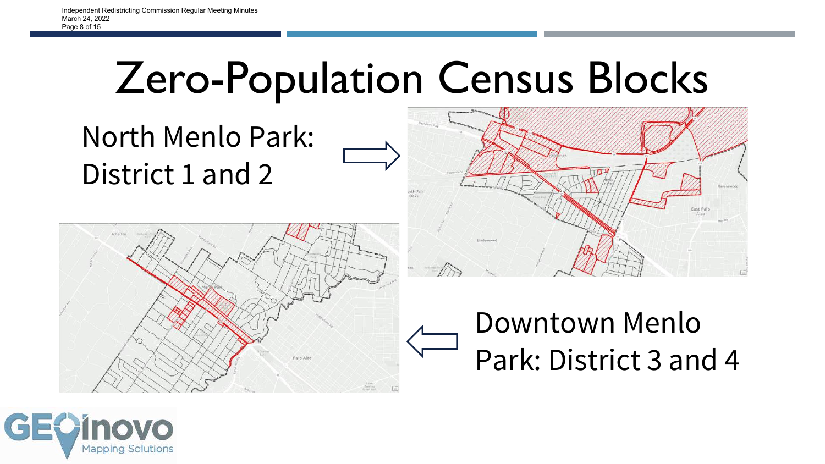### Zero-Population Census Blocks







### Downtown Menlo Park: District 3 and 4

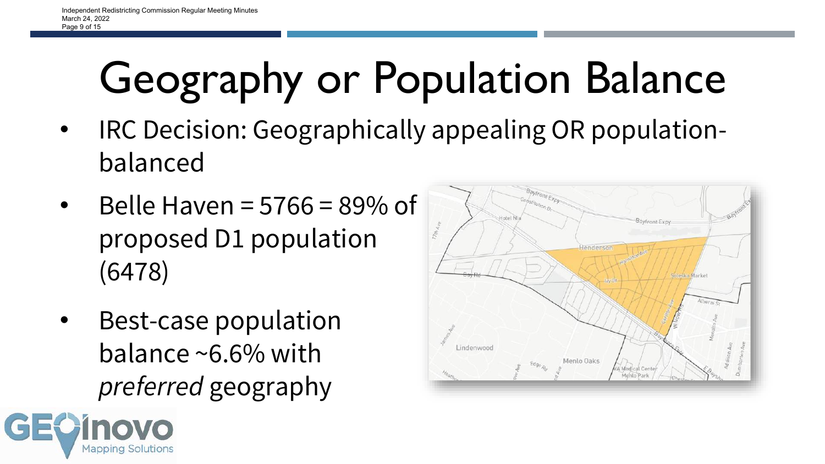# Geography or Population Balance

- IRC Decision: Geographically appealing OR populationbalanced
- Belle Haven =  $5766 = 89\%$  of proposed D1 population (6478)
- Best-case population balance ~6.6% with *preferred* geography



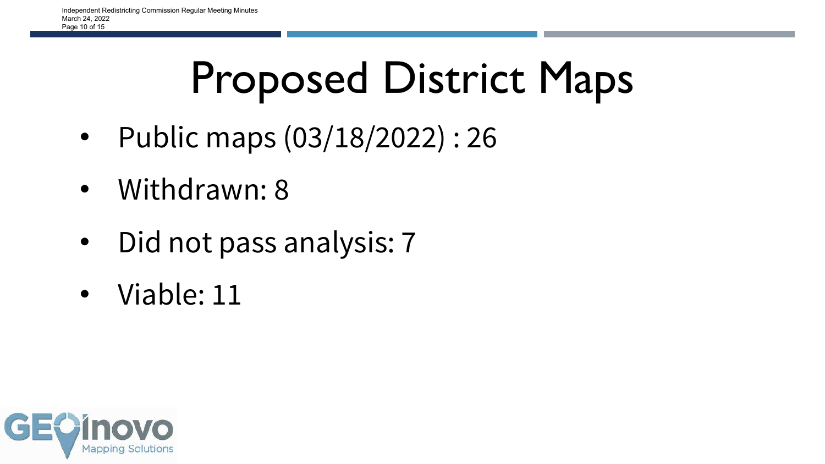# Proposed District Maps

- Public maps (03/18/2022) : 26
- Withdrawn: 8
- Did not pass analysis: 7
- Viable: 11

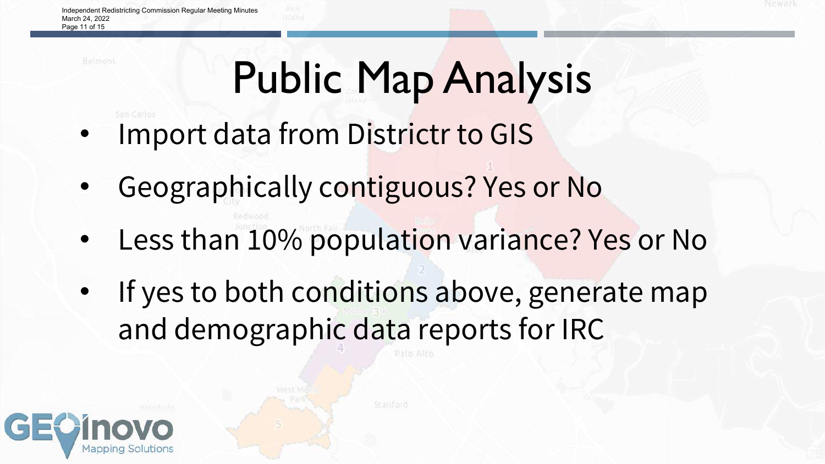## Public Map Analysis

- Import data from Districtr to GIS
- Geographically contiguous? Yes or No
- Less than 10% population variance? Yes or No
- If yes to both conditions above, generate map and demographic data reports for IRC

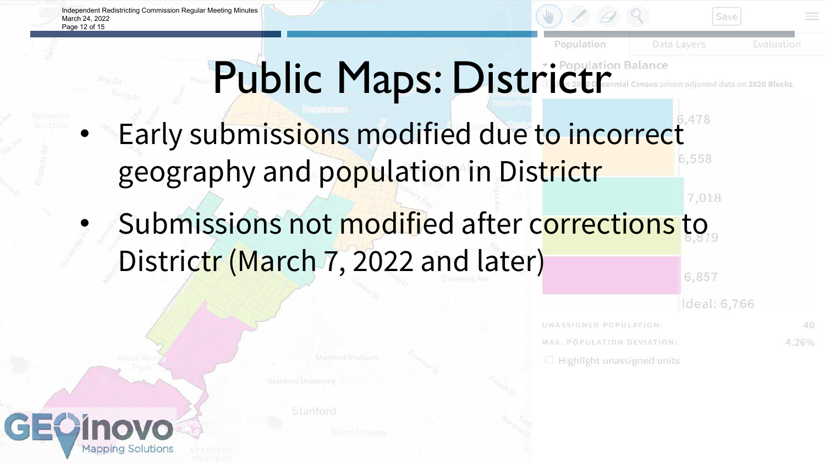Independent Redistricting Commission Regular Meeting Minutes March 24, 2022 Page 12 of 15

GE



### Public Maps: District Ceremial Census pris sus prison-adjusted data on 2020 Blocks.

- Early submissions modified due to incorrect geography and population in Districtr
- Submissions not modified after corrections to Districtr (March 7, 2022 and later) 6,857

Ideal: 6,766

6,558

7,018

UNASSIGNED POPULATION: MAX. POPULATION DEVIATION:  $\Box$  Highlight unassigned units

40 4.26%

Stanford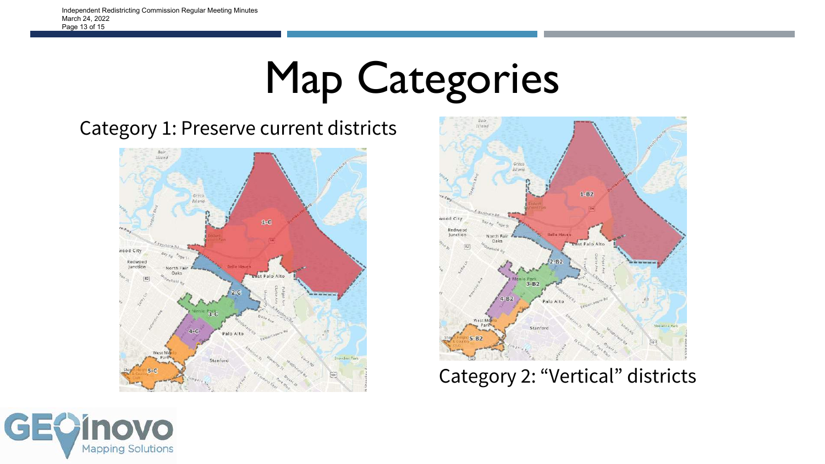### Map Categories

#### Category 1: Preserve current districts





Category 2: "Vertical" districts

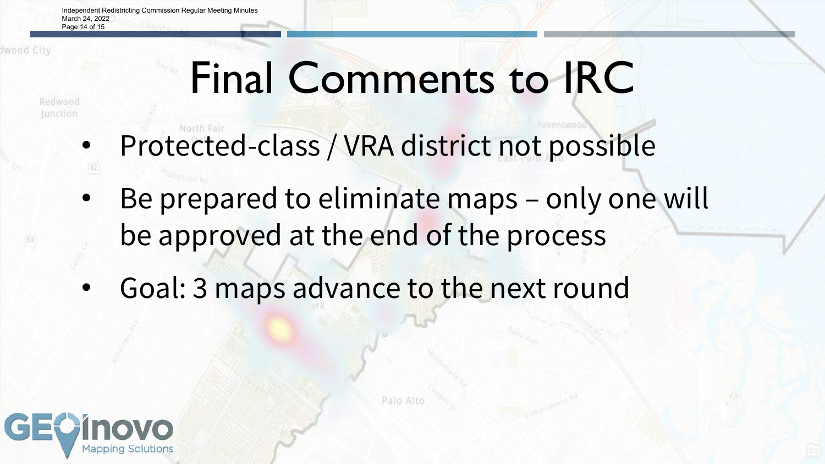Independent Redistricting Commission Regular Meeting Minutes March 24, 2022 Page 14 of 15

Iwood City

### Final Comments to IRC

Redwood Junction

- Protected-class / VRA district not possible
- Be prepared to eliminate maps only one will be approved at the end of the process

Palo Alto

• Goal: 3 maps advance to the next round